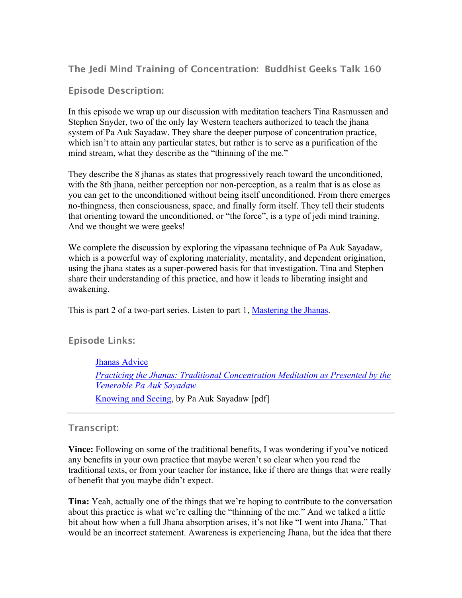**The Jedi Mind Training of Concentration: Buddhist Geeks Talk 160**

**Episode Description:**

In this episode we wrap up our discussion with meditation teachers Tina Rasmussen and Stephen Snyder, two of the only lay Western teachers authorized to teach the jhana system of Pa Auk Sayadaw. They share the deeper purpose of concentration practice, which isn't to attain any particular states, but rather is to serve as a purification of the mind stream, what they describe as the "thinning of the me."

They describe the 8 jhanas as states that progressively reach toward the unconditioned, with the 8th jhana, neither perception nor non-perception, as a realm that is as close as you can get to the unconditioned without being itself unconditioned. From there emerges no-thingness, then consciousness, space, and finally form itself. They tell their students that orienting toward the unconditioned, or "the force", is a type of jedi mind training. And we thought we were geeks!

We complete the discussion by exploring the vipassana technique of Pa Auk Sayadaw, which is a powerful way of exploring materiality, mentality, and dependent origination, using the jhana states as a super-powered basis for that investigation. Tina and Stephen share their understanding of this practice, and how it leads to liberating insight and awakening.

This is part 2 of a two-part series. Listen to part 1, Mastering the Jhanas.

**Episode Links:**

 Jhanas Advice *Practicing the Jhanas: Traditional Concentration Meditation as Presented by the Venerable Pa Auk Sayadaw* Knowing and Seeing, by Pa Auk Sayadaw [pdf]

## **Transcript:**

**Vince:** Following on some of the traditional benefits, I was wondering if you've noticed any benefits in your own practice that maybe weren't so clear when you read the traditional texts, or from your teacher for instance, like if there are things that were really of benefit that you maybe didn't expect.

**Tina:** Yeah, actually one of the things that we're hoping to contribute to the conversation about this practice is what we're calling the "thinning of the me." And we talked a little bit about how when a full Jhana absorption arises, it's not like "I went into Jhana." That would be an incorrect statement. Awareness is experiencing Jhana, but the idea that there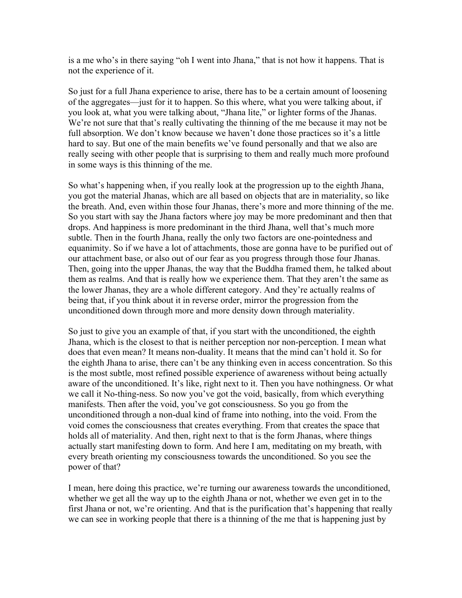is a me who's in there saying "oh I went into Jhana," that is not how it happens. That is not the experience of it.

So just for a full Jhana experience to arise, there has to be a certain amount of loosening of the aggregates—just for it to happen. So this where, what you were talking about, if you look at, what you were talking about, "Jhana lite," or lighter forms of the Jhanas. We're not sure that that's really cultivating the thinning of the me because it may not be full absorption. We don't know because we haven't done those practices so it's a little hard to say. But one of the main benefits we've found personally and that we also are really seeing with other people that is surprising to them and really much more profound in some ways is this thinning of the me.

So what's happening when, if you really look at the progression up to the eighth Jhana, you got the material Jhanas, which are all based on objects that are in materiality, so like the breath. And, even within those four Jhanas, there's more and more thinning of the me. So you start with say the Jhana factors where joy may be more predominant and then that drops. And happiness is more predominant in the third Jhana, well that's much more subtle. Then in the fourth Jhana, really the only two factors are one-pointedness and equanimity. So if we have a lot of attachments, those are gonna have to be purified out of our attachment base, or also out of our fear as you progress through those four Jhanas. Then, going into the upper Jhanas, the way that the Buddha framed them, he talked about them as realms. And that is really how we experience them. That they aren't the same as the lower Jhanas, they are a whole different category. And they're actually realms of being that, if you think about it in reverse order, mirror the progression from the unconditioned down through more and more density down through materiality.

So just to give you an example of that, if you start with the unconditioned, the eighth Jhana, which is the closest to that is neither perception nor non-perception. I mean what does that even mean? It means non-duality. It means that the mind can't hold it. So for the eighth Jhana to arise, there can't be any thinking even in access concentration. So this is the most subtle, most refined possible experience of awareness without being actually aware of the unconditioned. It's like, right next to it. Then you have nothingness. Or what we call it No-thing-ness. So now you've got the void, basically, from which everything manifests. Then after the void, you've got consciousness. So you go from the unconditioned through a non-dual kind of frame into nothing, into the void. From the void comes the consciousness that creates everything. From that creates the space that holds all of materiality. And then, right next to that is the form Jhanas, where things actually start manifesting down to form. And here I am, meditating on my breath, with every breath orienting my consciousness towards the unconditioned. So you see the power of that?

I mean, here doing this practice, we're turning our awareness towards the unconditioned, whether we get all the way up to the eighth Jhana or not, whether we even get in to the first Jhana or not, we're orienting. And that is the purification that's happening that really we can see in working people that there is a thinning of the me that is happening just by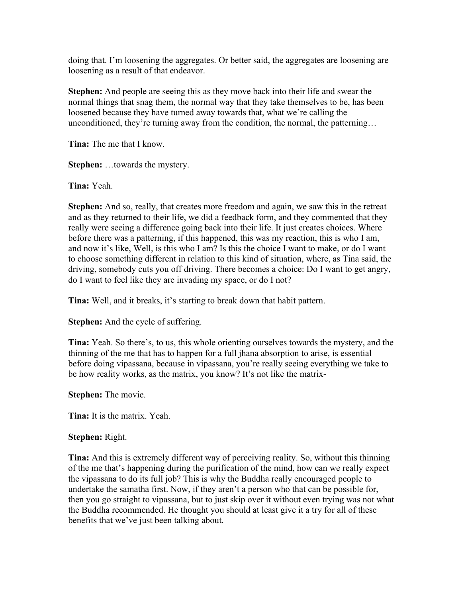doing that. I'm loosening the aggregates. Or better said, the aggregates are loosening are loosening as a result of that endeavor.

**Stephen:** And people are seeing this as they move back into their life and swear the normal things that snag them, the normal way that they take themselves to be, has been loosened because they have turned away towards that, what we're calling the unconditioned, they're turning away from the condition, the normal, the patterning...

**Tina:** The me that I know.

**Stephen:** …towards the mystery.

**Tina:** Yeah.

**Stephen:** And so, really, that creates more freedom and again, we saw this in the retreat and as they returned to their life, we did a feedback form, and they commented that they really were seeing a difference going back into their life. It just creates choices. Where before there was a patterning, if this happened, this was my reaction, this is who I am, and now it's like, Well, is this who I am? Is this the choice I want to make, or do I want to choose something different in relation to this kind of situation, where, as Tina said, the driving, somebody cuts you off driving. There becomes a choice: Do I want to get angry, do I want to feel like they are invading my space, or do I not?

**Tina:** Well, and it breaks, it's starting to break down that habit pattern.

**Stephen:** And the cycle of suffering.

**Tina:** Yeah. So there's, to us, this whole orienting ourselves towards the mystery, and the thinning of the me that has to happen for a full jhana absorption to arise, is essential before doing vipassana, because in vipassana, you're really seeing everything we take to be how reality works, as the matrix, you know? It's not like the matrix-

**Stephen:** The movie.

**Tina:** It is the matrix. Yeah.

## **Stephen:** Right.

**Tina:** And this is extremely different way of perceiving reality. So, without this thinning of the me that's happening during the purification of the mind, how can we really expect the vipassana to do its full job? This is why the Buddha really encouraged people to undertake the samatha first. Now, if they aren't a person who that can be possible for, then you go straight to vipassana, but to just skip over it without even trying was not what the Buddha recommended. He thought you should at least give it a try for all of these benefits that we've just been talking about.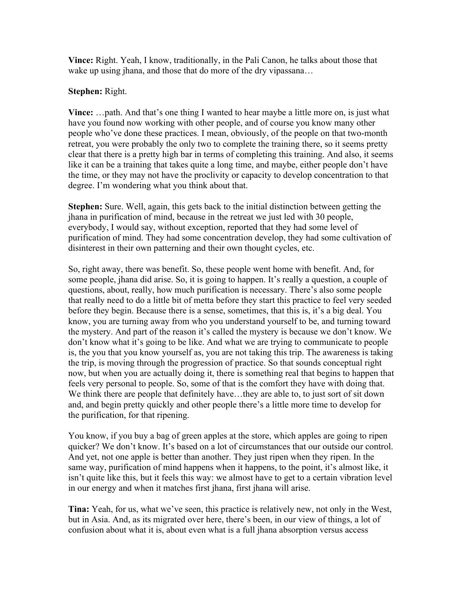**Vince:** Right. Yeah, I know, traditionally, in the Pali Canon, he talks about those that wake up using jhana, and those that do more of the dry vipassana...

## **Stephen:** Right.

**Vince:** …path. And that's one thing I wanted to hear maybe a little more on, is just what have you found now working with other people, and of course you know many other people who've done these practices. I mean, obviously, of the people on that two-month retreat, you were probably the only two to complete the training there, so it seems pretty clear that there is a pretty high bar in terms of completing this training. And also, it seems like it can be a training that takes quite a long time, and maybe, either people don't have the time, or they may not have the proclivity or capacity to develop concentration to that degree. I'm wondering what you think about that.

**Stephen:** Sure. Well, again, this gets back to the initial distinction between getting the jhana in purification of mind, because in the retreat we just led with 30 people, everybody, I would say, without exception, reported that they had some level of purification of mind. They had some concentration develop, they had some cultivation of disinterest in their own patterning and their own thought cycles, etc.

So, right away, there was benefit. So, these people went home with benefit. And, for some people, jhana did arise. So, it is going to happen. It's really a question, a couple of questions, about, really, how much purification is necessary. There's also some people that really need to do a little bit of metta before they start this practice to feel very seeded before they begin. Because there is a sense, sometimes, that this is, it's a big deal. You know, you are turning away from who you understand yourself to be, and turning toward the mystery. And part of the reason it's called the mystery is because we don't know. We don't know what it's going to be like. And what we are trying to communicate to people is, the you that you know yourself as, you are not taking this trip. The awareness is taking the trip, is moving through the progression of practice. So that sounds conceptual right now, but when you are actually doing it, there is something real that begins to happen that feels very personal to people. So, some of that is the comfort they have with doing that. We think there are people that definitely have...they are able to, to just sort of sit down and, and begin pretty quickly and other people there's a little more time to develop for the purification, for that ripening.

You know, if you buy a bag of green apples at the store, which apples are going to ripen quicker? We don't know. It's based on a lot of circumstances that our outside our control. And yet, not one apple is better than another. They just ripen when they ripen. In the same way, purification of mind happens when it happens, to the point, it's almost like, it isn't quite like this, but it feels this way: we almost have to get to a certain vibration level in our energy and when it matches first jhana, first jhana will arise.

**Tina:** Yeah, for us, what we've seen, this practice is relatively new, not only in the West, but in Asia. And, as its migrated over here, there's been, in our view of things, a lot of confusion about what it is, about even what is a full jhana absorption versus access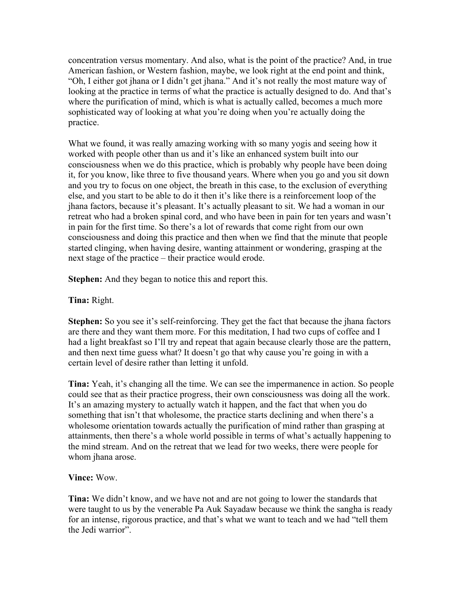concentration versus momentary. And also, what is the point of the practice? And, in true American fashion, or Western fashion, maybe, we look right at the end point and think, "Oh, I either got jhana or I didn't get jhana." And it's not really the most mature way of looking at the practice in terms of what the practice is actually designed to do. And that's where the purification of mind, which is what is actually called, becomes a much more sophisticated way of looking at what you're doing when you're actually doing the practice.

What we found, it was really amazing working with so many yogis and seeing how it worked with people other than us and it's like an enhanced system built into our consciousness when we do this practice, which is probably why people have been doing it, for you know, like three to five thousand years. Where when you go and you sit down and you try to focus on one object, the breath in this case, to the exclusion of everything else, and you start to be able to do it then it's like there is a reinforcement loop of the jhana factors, because it's pleasant. It's actually pleasant to sit. We had a woman in our retreat who had a broken spinal cord, and who have been in pain for ten years and wasn't in pain for the first time. So there's a lot of rewards that come right from our own consciousness and doing this practice and then when we find that the minute that people started clinging, when having desire, wanting attainment or wondering, grasping at the next stage of the practice – their practice would erode.

**Stephen:** And they began to notice this and report this.

**Tina:** Right.

**Stephen:** So you see it's self-reinforcing. They get the fact that because the jhana factors are there and they want them more. For this meditation, I had two cups of coffee and I had a light breakfast so I'll try and repeat that again because clearly those are the pattern, and then next time guess what? It doesn't go that why cause you're going in with a certain level of desire rather than letting it unfold.

**Tina:** Yeah, it's changing all the time. We can see the impermanence in action. So people could see that as their practice progress, their own consciousness was doing all the work. It's an amazing mystery to actually watch it happen, and the fact that when you do something that isn't that wholesome, the practice starts declining and when there's a wholesome orientation towards actually the purification of mind rather than grasping at attainments, then there's a whole world possible in terms of what's actually happening to the mind stream. And on the retreat that we lead for two weeks, there were people for whom jhana arose.

**Vince:** Wow.

**Tina:** We didn't know, and we have not and are not going to lower the standards that were taught to us by the venerable Pa Auk Sayadaw because we think the sangha is ready for an intense, rigorous practice, and that's what we want to teach and we had "tell them the Jedi warrior".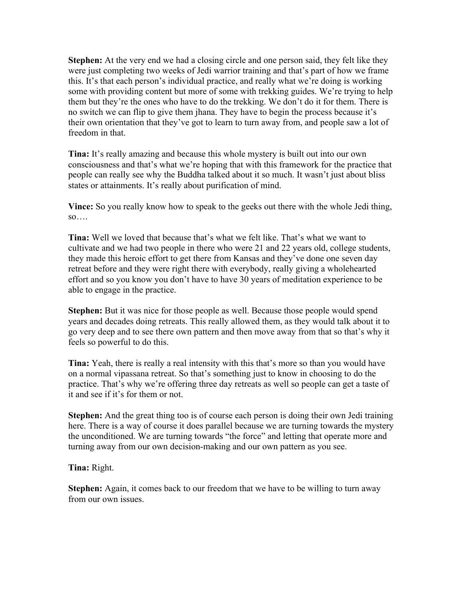**Stephen:** At the very end we had a closing circle and one person said, they felt like they were just completing two weeks of Jedi warrior training and that's part of how we frame this. It's that each person's individual practice, and really what we're doing is working some with providing content but more of some with trekking guides. We're trying to help them but they're the ones who have to do the trekking. We don't do it for them. There is no switch we can flip to give them jhana. They have to begin the process because it's their own orientation that they've got to learn to turn away from, and people saw a lot of freedom in that.

**Tina:** It's really amazing and because this whole mystery is built out into our own consciousness and that's what we're hoping that with this framework for the practice that people can really see why the Buddha talked about it so much. It wasn't just about bliss states or attainments. It's really about purification of mind.

**Vince:** So you really know how to speak to the geeks out there with the whole Jedi thing, so….

**Tina:** Well we loved that because that's what we felt like. That's what we want to cultivate and we had two people in there who were 21 and 22 years old, college students, they made this heroic effort to get there from Kansas and they've done one seven day retreat before and they were right there with everybody, really giving a wholehearted effort and so you know you don't have to have 30 years of meditation experience to be able to engage in the practice.

**Stephen:** But it was nice for those people as well. Because those people would spend years and decades doing retreats. This really allowed them, as they would talk about it to go very deep and to see there own pattern and then move away from that so that's why it feels so powerful to do this.

**Tina:** Yeah, there is really a real intensity with this that's more so than you would have on a normal vipassana retreat. So that's something just to know in choosing to do the practice. That's why we're offering three day retreats as well so people can get a taste of it and see if it's for them or not.

**Stephen:** And the great thing too is of course each person is doing their own Jedi training here. There is a way of course it does parallel because we are turning towards the mystery the unconditioned. We are turning towards "the force" and letting that operate more and turning away from our own decision-making and our own pattern as you see.

**Tina:** Right.

**Stephen:** Again, it comes back to our freedom that we have to be willing to turn away from our own issues.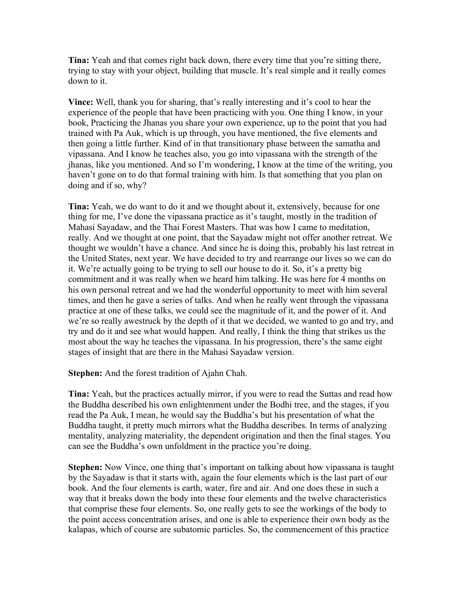**Tina:** Yeah and that comes right back down, there every time that you're sitting there, trying to stay with your object, building that muscle. It's real simple and it really comes down to it.

**Vince:** Well, thank you for sharing, that's really interesting and it's cool to hear the experience of the people that have been practicing with you. One thing I know, in your book, Practicing the Jhanas you share your own experience, up to the point that you had trained with Pa Auk, which is up through, you have mentioned, the five elements and then going a little further. Kind of in that transitionary phase between the samatha and vipassana. And I know he teaches also, you go into vipassana with the strength of the jhanas, like you mentioned. And so I'm wondering, I know at the time of the writing, you haven't gone on to do that formal training with him. Is that something that you plan on doing and if so, why?

**Tina:** Yeah, we do want to do it and we thought about it, extensively, because for one thing for me, I've done the vipassana practice as it's taught, mostly in the tradition of Mahasi Sayadaw, and the Thai Forest Masters. That was how I came to meditation, really. And we thought at one point, that the Sayadaw might not offer another retreat. We thought we wouldn't have a chance. And since he is doing this, probably his last retreat in the United States, next year. We have decided to try and rearrange our lives so we can do it. We're actually going to be trying to sell our house to do it. So, it's a pretty big commitment and it was really when we heard him talking. He was here for 4 months on his own personal retreat and we had the wonderful opportunity to meet with him several times, and then he gave a series of talks. And when he really went through the vipassana practice at one of these talks, we could see the magnitude of it, and the power of it. And we're so really awestruck by the depth of it that we decided, we wanted to go and try, and try and do it and see what would happen. And really, I think the thing that strikes us the most about the way he teaches the vipassana. In his progression, there's the same eight stages of insight that are there in the Mahasi Sayadaw version.

**Stephen:** And the forest tradition of Ajahn Chah.

**Tina:** Yeah, but the practices actually mirror, if you were to read the Suttas and read how the Buddha described his own enlightenment under the Bodhi tree, and the stages, if you read the Pa Auk, I mean, he would say the Buddha's but his presentation of what the Buddha taught, it pretty much mirrors what the Buddha describes. In terms of analyzing mentality, analyzing materiality, the dependent origination and then the final stages. You can see the Buddha's own unfoldment in the practice you're doing.

**Stephen:** Now Vince, one thing that's important on talking about how vipassana is taught by the Sayadaw is that it starts with, again the four elements which is the last part of our book. And the four elements is earth, water, fire and air. And one does these in such a way that it breaks down the body into these four elements and the twelve characteristics that comprise these four elements. So, one really gets to see the workings of the body to the point access concentration arises, and one is able to experience their own body as the kalapas, which of course are subatomic particles. So, the commencement of this practice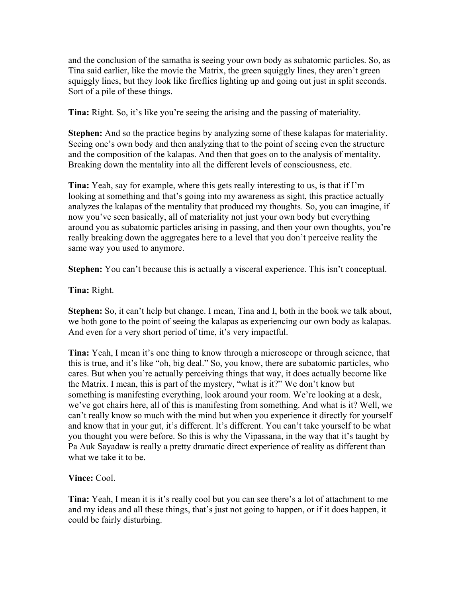and the conclusion of the samatha is seeing your own body as subatomic particles. So, as Tina said earlier, like the movie the Matrix, the green squiggly lines, they aren't green squiggly lines, but they look like fireflies lighting up and going out just in split seconds. Sort of a pile of these things.

**Tina:** Right. So, it's like you're seeing the arising and the passing of materiality.

**Stephen:** And so the practice begins by analyzing some of these kalapas for materiality. Seeing one's own body and then analyzing that to the point of seeing even the structure and the composition of the kalapas. And then that goes on to the analysis of mentality. Breaking down the mentality into all the different levels of consciousness, etc.

**Tina:** Yeah, say for example, where this gets really interesting to us, is that if I'm looking at something and that's going into my awareness as sight, this practice actually analyzes the kalapas of the mentality that produced my thoughts. So, you can imagine, if now you've seen basically, all of materiality not just your own body but everything around you as subatomic particles arising in passing, and then your own thoughts, you're really breaking down the aggregates here to a level that you don't perceive reality the same way you used to anymore.

**Stephen:** You can't because this is actually a visceral experience. This isn't conceptual.

**Tina:** Right.

**Stephen:** So, it can't help but change. I mean, Tina and I, both in the book we talk about, we both gone to the point of seeing the kalapas as experiencing our own body as kalapas. And even for a very short period of time, it's very impactful.

**Tina:** Yeah, I mean it's one thing to know through a microscope or through science, that this is true, and it's like "oh, big deal." So, you know, there are subatomic particles, who cares. But when you're actually perceiving things that way, it does actually become like the Matrix. I mean, this is part of the mystery, "what is it?" We don't know but something is manifesting everything, look around your room. We're looking at a desk, we've got chairs here, all of this is manifesting from something. And what is it? Well, we can't really know so much with the mind but when you experience it directly for yourself and know that in your gut, it's different. It's different. You can't take yourself to be what you thought you were before. So this is why the Vipassana, in the way that it's taught by Pa Auk Sayadaw is really a pretty dramatic direct experience of reality as different than what we take it to be.

**Vince:** Cool.

**Tina:** Yeah, I mean it is it's really cool but you can see there's a lot of attachment to me and my ideas and all these things, that's just not going to happen, or if it does happen, it could be fairly disturbing.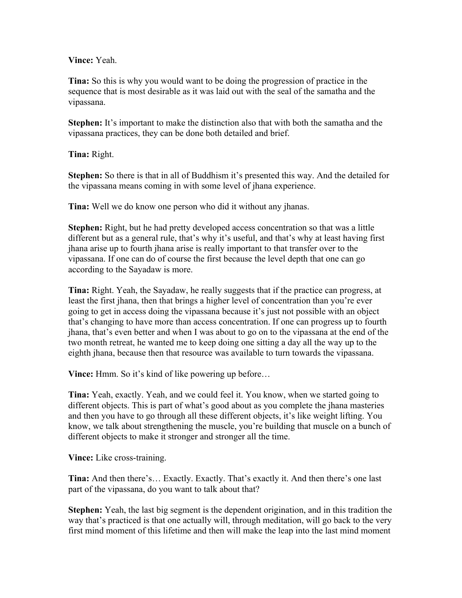## **Vince:** Yeah.

**Tina:** So this is why you would want to be doing the progression of practice in the sequence that is most desirable as it was laid out with the seal of the samatha and the vipassana.

**Stephen:** It's important to make the distinction also that with both the samatha and the vipassana practices, they can be done both detailed and brief.

**Tina:** Right.

**Stephen:** So there is that in all of Buddhism it's presented this way. And the detailed for the vipassana means coming in with some level of jhana experience.

**Tina:** Well we do know one person who did it without any jhanas.

**Stephen:** Right, but he had pretty developed access concentration so that was a little different but as a general rule, that's why it's useful, and that's why at least having first jhana arise up to fourth jhana arise is really important to that transfer over to the vipassana. If one can do of course the first because the level depth that one can go according to the Sayadaw is more.

**Tina:** Right. Yeah, the Sayadaw, he really suggests that if the practice can progress, at least the first jhana, then that brings a higher level of concentration than you're ever going to get in access doing the vipassana because it's just not possible with an object that's changing to have more than access concentration. If one can progress up to fourth jhana, that's even better and when I was about to go on to the vipassana at the end of the two month retreat, he wanted me to keep doing one sitting a day all the way up to the eighth jhana, because then that resource was available to turn towards the vipassana.

**Vince:** Hmm. So it's kind of like powering up before...

**Tina:** Yeah, exactly. Yeah, and we could feel it. You know, when we started going to different objects. This is part of what's good about as you complete the jhana masteries and then you have to go through all these different objects, it's like weight lifting. You know, we talk about strengthening the muscle, you're building that muscle on a bunch of different objects to make it stronger and stronger all the time.

**Vince:** Like cross-training.

**Tina:** And then there's… Exactly. Exactly. That's exactly it. And then there's one last part of the vipassana, do you want to talk about that?

**Stephen:** Yeah, the last big segment is the dependent origination, and in this tradition the way that's practiced is that one actually will, through meditation, will go back to the very first mind moment of this lifetime and then will make the leap into the last mind moment